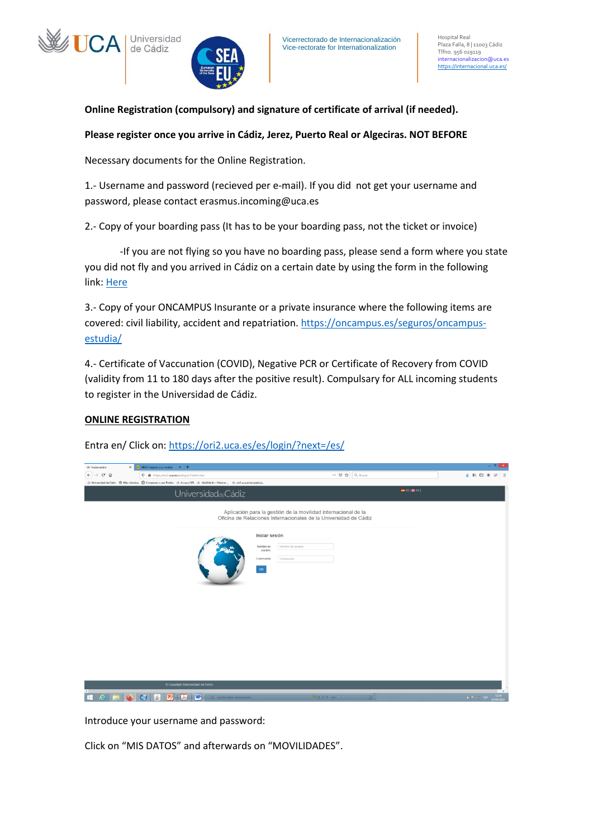



**Online Registration (compulsory) and signature of certificate of arrival (if needed).**

## **Please register once you arrive in Cádiz, Jerez, Puerto Real or Algeciras. NOT BEFORE**

Necessary documents for the Online Registration.

1.- Username and password (recieved per e-mail). If you did not get your username and password, please contact erasmus.incoming@uca.es

2.- Copy of your boarding pass (It has to be your boarding pass, not the ticket or invoice)

-If you are not flying so you have no boarding pass, please send a form where you state you did not fly and you arrived in Cádiz on a certain date by using the form in the following link: [Here](https://internacional.uca.es/welcome-center/estudiantes/erasmus-ka103-incoming/llegada-a-la-uca-sin-boarding-pass-2/)

3.- Copy of your ONCAMPUS Insurante or a private insurance where the following items are covered: civil liability, accident and repatriation. [https://oncampus.es/seguros/oncampus](https://oncampus.es/seguros/oncampus-estudia/)[estudia/](https://oncampus.es/seguros/oncampus-estudia/)

4.- Certificate of Vaccunation (COVID), Negative PCR or Certificate of Recovery from COVID (validity from 11 to 180 days after the positive result). Compulsary for ALL incoming students to register in the Universidad de Cádiz.

## **ONLINE REGISTRATION**

Entra en/ Click on[: https://ori2.uca.es/es/login/?next=/es/](https://ori2.uca.es/es/login/?next=/es/)

| W/ Iniciar sesión                                     | ARAG Viajeros a su medida X +<br>$\times$                                                                                    |                                                                                                                                                                                                                                     | $- 0 x$                                                 |
|-------------------------------------------------------|------------------------------------------------------------------------------------------------------------------------------|-------------------------------------------------------------------------------------------------------------------------------------------------------------------------------------------------------------------------------------|---------------------------------------------------------|
| $\left(\leftarrow\right)\rightarrow$<br>$C$ $\hat{w}$ | $\mathbf{0}$ $\mathbf{a}$ https://ori2.uca.es/es/login/?next=/es/                                                            | $\cdots \nabla \cdot \mathbf{Q} \mid \mathbf{Q}$ Buscar                                                                                                                                                                             | $+$ 10 10 $+$<br>$\Box$                                 |
|                                                       | 山 Universidad de Cádiz 章 Más visitados ● Comenzar a usar Firefox 山 Acceso ORI 山 WebMerlin - Mostrar  山 onZuca.es/es/particip |                                                                                                                                                                                                                                     |                                                         |
|                                                       | UniversidaddeCádiz                                                                                                           | $\frac{1}{2}$ es $\frac{1}{2}$ en $\frac{1}{2}$                                                                                                                                                                                     |                                                         |
|                                                       |                                                                                                                              | Aplicación para la gestión de la movilidad internacional de la<br>Oficina de Relaciones Internacionales de la Universidad de Cádiz<br>Iniciar sesión<br>Nombre de<br>Nombre de usuario<br>usuario<br>Contraseña<br>Contraseña<br>OK |                                                         |
|                                                       |                                                                                                                              |                                                                                                                                                                                                                                     |                                                         |
|                                                       | © Copyright Universidad de Cádiz<br>$\mathbf{W}$<br>P.<br>画<br><b>3</b> Español (alfab. internacional)                       | 国語日マ 2% → 0<br>0B                                                                                                                                                                                                                   | $\rightarrow$<br>1259<br>W09/2020<br>$\sim$ 4 P $\%$ BP |

Introduce your username and password:

Click on "MIS DATOS" and afterwards on "MOVILIDADES".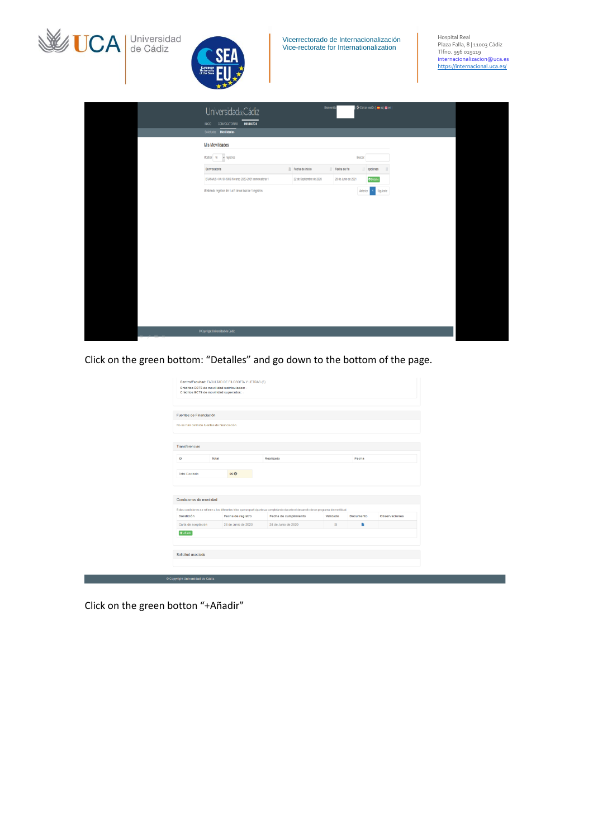

| (C+ Cerrar sesión). es   ## en  <br>Bienvenid<br>UniversidaddeCádiz<br>NICIO CONVOCATORIAS MISDATOS<br>Solicitudes Movilidades<br>Mis Movilidades<br>Mostrar 10 v registros<br>Buscar:<br>Li Fecha de inicio<br>If Fecha de fin<br>$\ $ opciones<br>Convocatoria<br>ERASMUS+ KA103 SMS IN curso 2020-2021 convocatoria 1<br><b>O</b> Detailed<br>22 de Septiembre de 2020<br>28 de Junio de 2021<br>Mostrando registros del 1 al 1 de un total de 1 registros<br>Anterior<br>1 Siguiente<br>Copyright Universidad de Cádiz |  |  |  |
|----------------------------------------------------------------------------------------------------------------------------------------------------------------------------------------------------------------------------------------------------------------------------------------------------------------------------------------------------------------------------------------------------------------------------------------------------------------------------------------------------------------------------|--|--|--|
|                                                                                                                                                                                                                                                                                                                                                                                                                                                                                                                            |  |  |  |
|                                                                                                                                                                                                                                                                                                                                                                                                                                                                                                                            |  |  |  |
|                                                                                                                                                                                                                                                                                                                                                                                                                                                                                                                            |  |  |  |
|                                                                                                                                                                                                                                                                                                                                                                                                                                                                                                                            |  |  |  |
|                                                                                                                                                                                                                                                                                                                                                                                                                                                                                                                            |  |  |  |
|                                                                                                                                                                                                                                                                                                                                                                                                                                                                                                                            |  |  |  |
|                                                                                                                                                                                                                                                                                                                                                                                                                                                                                                                            |  |  |  |
|                                                                                                                                                                                                                                                                                                                                                                                                                                                                                                                            |  |  |  |
|                                                                                                                                                                                                                                                                                                                                                                                                                                                                                                                            |  |  |  |
|                                                                                                                                                                                                                                                                                                                                                                                                                                                                                                                            |  |  |  |
|                                                                                                                                                                                                                                                                                                                                                                                                                                                                                                                            |  |  |  |

Click on the green bottom: "Detalles" and go down to the bottom of the page.

|                                             | Fuentes de Financiación |                     |                                                                                                                                            |          |           |               |
|---------------------------------------------|-------------------------|---------------------|--------------------------------------------------------------------------------------------------------------------------------------------|----------|-----------|---------------|
| No se han definido fuentes de financiación. |                         |                     |                                                                                                                                            |          |           |               |
|                                             |                         |                     |                                                                                                                                            |          |           |               |
| Transferencias                              |                         |                     |                                                                                                                                            |          |           |               |
| ID                                          | Total                   |                     | Realizada                                                                                                                                  |          |           |               |
| <b>Total Recibido</b>                       |                         | $0 \in \Omega$      |                                                                                                                                            |          |           |               |
|                                             |                         |                     |                                                                                                                                            |          |           |               |
|                                             |                         |                     |                                                                                                                                            |          |           |               |
| Condiciones de movilidad                    |                         |                     |                                                                                                                                            |          |           |               |
|                                             |                         |                     | Estas condiciones se refieren a los diferentes hitos que un participante va completando durante el desarrollo de un programa de movilidad. |          |           |               |
| Condición                                   |                         | Fecha de registro   | Fecha de cumplimiento                                                                                                                      | Validado | Documento | Observaciones |
| Carta de aceptación                         |                         | 24 de Junio de 2020 | 24 de Junio de 2020                                                                                                                        | SI       | ٠         |               |
| + Añadir                                    |                         |                     |                                                                                                                                            |          |           |               |
|                                             |                         |                     |                                                                                                                                            |          |           |               |

Click on the green botton "+Añadir"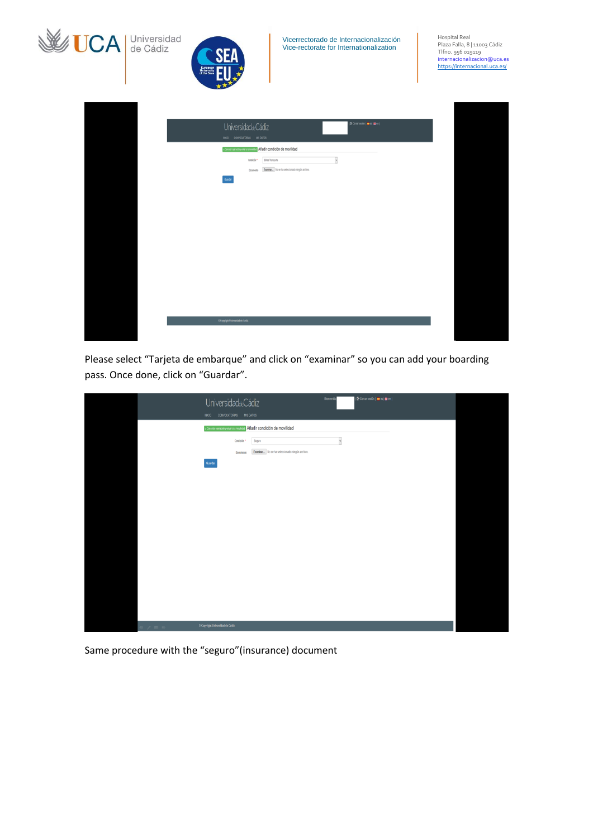| <b>WE UCA</b> Universidad | Vicerrectorado de Internacionalización<br>Vice-rectorate for Internationalization<br>Europea<br>University<br>of the Sea                                                                                                                                                                                               | Hospital Real<br>Plaza Falla, 8   11003 Cádiz<br>Tlfno. 956 019119<br>internacionalizacion@uca.es<br>https://internacional.uca.es/ |
|---------------------------|------------------------------------------------------------------------------------------------------------------------------------------------------------------------------------------------------------------------------------------------------------------------------------------------------------------------|------------------------------------------------------------------------------------------------------------------------------------|
|                           | (C Cerrar sesión). e es (# en )<br>UniversidaddeCádiz<br>INCIO CONVOCATORIAS MISOATOS<br>« Canotar operación y volver a la montidad Añadir condición de movilidad<br>$\overline{\phantom{a}}$<br>Biliete Transporte<br>Condición <sup>®</sup><br>Examinar No se ha seleccionado ningún archivo.<br>Documento<br>Guarta |                                                                                                                                    |
|                           | C Copyright Universidad de Cádiz                                                                                                                                                                                                                                                                                       |                                                                                                                                    |

Please select "Tarjeta de embarque" and click on "examinar" so you can add your boarding pass. Once done, click on "Guardar".

|      | (C Cerrar sesión) e es (# en )<br>Bienvenido<br>UniversidaddeCádiz                                            |
|------|---------------------------------------------------------------------------------------------------------------|
|      | INCIO CONVOCATORIAS MISDATOS                                                                                  |
|      | « Cancelar operación y volver a la movilidad Añadir condición de movillidad                                   |
|      | $\check{\phantom{a}}$<br>Seguro<br>Condición *<br>Examinar No se ha seleccionado ningún archivo.<br>Documento |
|      | Guardan                                                                                                       |
|      |                                                                                                               |
|      |                                                                                                               |
|      |                                                                                                               |
|      |                                                                                                               |
|      |                                                                                                               |
|      |                                                                                                               |
|      |                                                                                                               |
|      |                                                                                                               |
|      |                                                                                                               |
|      |                                                                                                               |
| 2.55 | Copyright Universidad de Cádiz                                                                                |

Same procedure with the "seguro"(insurance) document